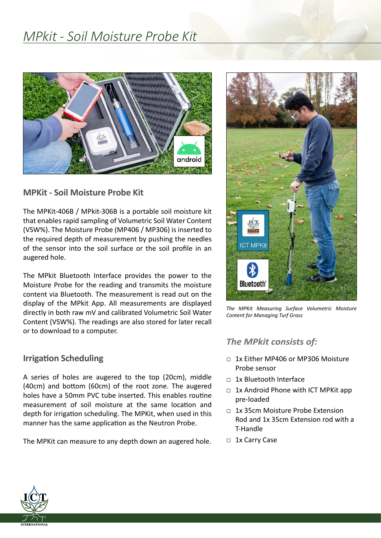# *MPkit - Soil Moisture Probe Kit*



## **MPKit - Soil Moisture Probe Kit**

The MPKit-406B / MPkit-306B is a portable soil moisture kit that enables rapid sampling of Volumetric Soil Water Content (VSW%). The Moisture Probe (MP406 / MP306) is inserted to the required depth of measurement by pushing the needles of the sensor into the soil surface or the soil profile in an augered hole.

The MPkit Bluetooth Interface provides the power to the Moisture Probe for the reading and transmits the moisture content via Bluetooth. The measurement is read out on the display of the MPkit App. All measurements are displayed directly in both raw mV and calibrated Volumetric Soil Water Content (VSW%). The readings are also stored for later recall or to download to a computer.

### **Irrigation Scheduling**

A series of holes are augered to the top (20cm), middle (40cm) and bottom (60cm) of the root zone. The augered holes have a 50mm PVC tube inserted. This enables routine measurement of soil moisture at the same location and depth for irrigation scheduling. The MPKit, when used in this manner has the same application as the Neutron Probe.

The MPKit can measure to any depth down an augered hole.



*The MPKit Measuring Surface Volumetric Moisture Content for Managing Turf Grass*

## *The MPkit consists of:*

- $\neg$  1x Either MP406 or MP306 Moisture Probe sensor
- □ 1x Bluetooth Interface
- $\Box$  1x Android Phone with ICT MPKit app pre-loaded
- □ 1x 35cm Moisture Probe Extension Rod and 1x 35cm Extension rod with a T-Handle
- □ 1x Carry Case

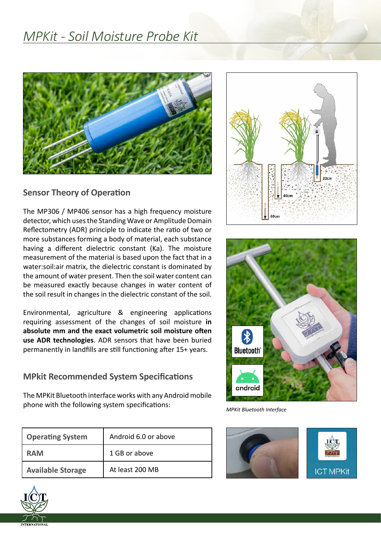# *MPKit - Soil Moisture Probe Kit*



### **Sensor Theory of Operation**

The MP306 / MP406 sensor has a high frequency moisture detector, which uses the Standing Wave or Amplitude Domain Reflectometry (ADR) principle to indicate the ratio of two or more substances forming a body of material, each substance having a different dielectric constant (Ka). The moisture measurement of the material is based upon the fact that in a water:soil:air matrix, the dielectric constant is dominated by the amount of water present. Then the soil water content can be measured exactly because changes in water content of the soil result in changes in the dielectric constant of the soil.

Environmental, agriculture & engineering applications requiring assessment of the changes of soil moisture **in absolute mm and the exact volumetric soil moisture often use ADR technologies**. ADR sensors that have been buried permanently in landfills are still functioning after 15+ years.

## **MPkit Recommended System Specifications**

The MPKit Bluetooth interface works with any Android mobile phone with the following system specifications: **MPKIT MEXIT SULFER** MPKIt Bluetooth Interface

| <b>Operating System</b>  | Android 6.0 or above |
|--------------------------|----------------------|
| <b>RAM</b>               | 1 GB or above        |
| <b>Available Storage</b> | At least 200 MB      |







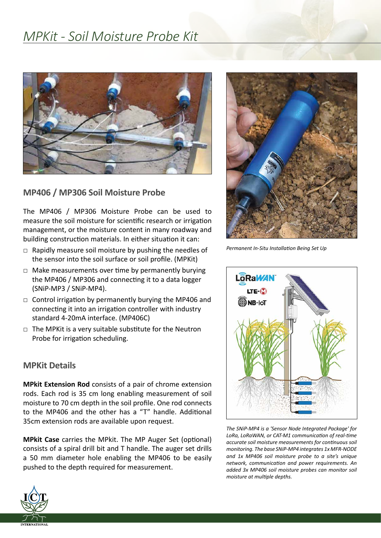# *MPKit - Soil Moisture Probe Kit*



## **MP406 / MP306 Soil Moisture Probe**

The MP406 / MP306 Moisture Probe can be used to measure the soil moisture for scientific research or irrigation management, or the moisture content in many roadway and building construction materials. In either situation it can:

- $\Box$  Rapidly measure soil moisture by pushing the needles of the sensor into the soil surface or soil profile. (MPKit)
- $\Box$  Make measurements over time by permanently burying the MP406 / MP306 and connecting it to a data logger (SNiP-MP3 / SNiP-MP4).
- $\Box$  Control irrigation by permanently burying the MP406 and connecting it into an irrigation controller with industry standard 4-20mA interface. (MP406C)
- □ The MPKit is a very suitable substitute for the Neutron Probe for irrigation scheduling.

### **MPKit Details**

**MPkit Extension Rod** consists of a pair of chrome extension rods. Each rod is 35 cm long enabling measurement of soil moisture to 70 cm depth in the soil profile. One rod connects to the MP406 and the other has a "T" handle. Additional 35cm extension rods are available upon request.

**MPkit Case** carries the MPkit. The MP Auger Set (optional) consists of a spiral drill bit and T handle. The auger set drills a 50 mm diameter hole enabling the MP406 to be easily pushed to the depth required for measurement.



*Permanent In-Situ Installation Being Set Up*



*The SNiP-MP4 is a 'Sensor Node Integrated Package' for LoRa, LoRaWAN, or CAT-M1 communication of real-time accurate soil moisture measurements for continuous soil monitoring. The base SNiP-MP4 integrates 1x MFR-NODE and 1x MP406 soil moisture probe to a site's unique network, communication and power requirements. An added 3x MP406 soil moisture probes can monitor soil moisture at multiple depths.*